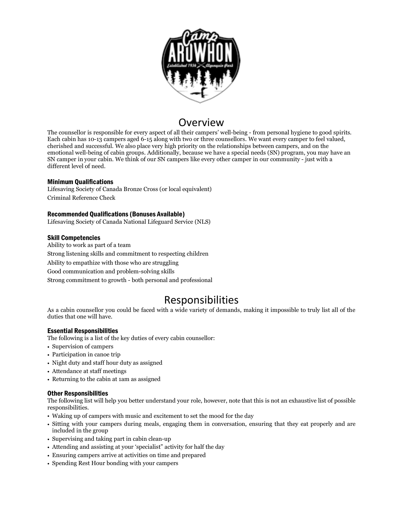

## Overview

The counsellor is responsible for every aspect of all their campers' well-being - from personal hygiene to good spirits. Each cabin has 10-13 campers aged 6-15 along with two or three counsellors. We want every camper to feel valued, cherished and successful. We also place very high priority on the relationships between campers, and on the emotional well-being of cabin groups. Additionally, because we have a special needs (SN) program, you may have an SN camper in your cabin. We think of our SN campers like every other camper in our community - just with a different level of need.

### Minimum Qualifications

Lifesaving Society of Canada Bronze Cross (or local equivalent) Criminal Reference Check

### Recommended Qualifications (Bonuses Available)

Lifesaving Society of Canada National Lifeguard Service (NLS)

### Skill Competencies

Ability to work as part of a team Strong listening skills and commitment to respecting children Ability to empathize with those who are struggling Good communication and problem-solving skills Strong commitment to growth - both personal and professional

# Responsibilities

As a cabin counsellor you could be faced with a wide variety of demands, making it impossible to truly list all of the duties that one will have.

### Essential Responsibilities

The following is a list of the key duties of every cabin counsellor:

- Supervision of campers
- Participation in canoe trip
- Night duty and staff hour duty as assigned
- Attendance at staff meetings
- Returning to the cabin at 1am as assigned

### Other Responsibilities

The following list will help you better understand your role, however, note that this is not an exhaustive list of possible responsibilities.

- Waking up of campers with music and excitement to set the mood for the day
- Sitting with your campers during meals, engaging them in conversation, ensuring that they eat properly and are included in the group
- Supervising and taking part in cabin clean-up
- Attending and assisting at your 'specialist" activity for half the day
- Ensuring campers arrive at activities on time and prepared
- Spending Rest Hour bonding with your campers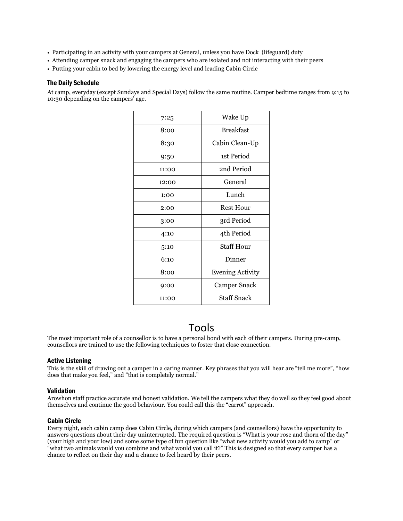- Participating in an activity with your campers at General, unless you have Dock (lifeguard) duty
- Attending camper snack and engaging the campers who are isolated and not interacting with their peers
- Putting your cabin to bed by lowering the energy level and leading Cabin Circle

### The Daily Schedule

At camp, everyday (except Sundays and Special Days) follow the same routine. Camper bedtime ranges from 9:15 to 10:30 depending on the campers' age.

| 7:25  | Wake Up                 |
|-------|-------------------------|
| 8:00  | <b>Breakfast</b>        |
| 8:30  | Cabin Clean-Up          |
| 9:50  | 1st Period              |
| 11:00 | 2nd Period              |
| 12:00 | General                 |
| 1:00  | Lunch                   |
| 2:00  | <b>Rest Hour</b>        |
| 3:00  | 3rd Period              |
| 4:10  | 4th Period              |
| 5:10  | <b>Staff Hour</b>       |
| 6:10  | Dinner                  |
| 8:00  | <b>Evening Activity</b> |
| 9:00  | Camper Snack            |
| 11:00 | Staff Snack             |

## Tools

The most important role of a counsellor is to have a personal bond with each of their campers. During pre-camp, counsellors are trained to use the following techniques to foster that close connection.

### Active Listening

This is the skill of drawing out a camper in a caring manner. Key phrases that you will hear are "tell me more", "how does that make you feel," and "that is completely normal."

### Validation

Arowhon staff practice accurate and honest validation. We tell the campers what they do well so they feel good about themselves and continue the good behaviour. You could call this the "carrot" approach.

### Cabin Circle

Every night, each cabin camp does Cabin Circle, during which campers (and counsellors) have the opportunity to answers questions about their day uninterrupted. The required question is "What is your rose and thorn of the day" (your high and your low) and some some type of fun question like "what new activity would you add to camp" or "what two animals would you combine and what would you call it?" This is designed so that every camper has a chance to reflect on their day and a chance to feel heard by their peers.